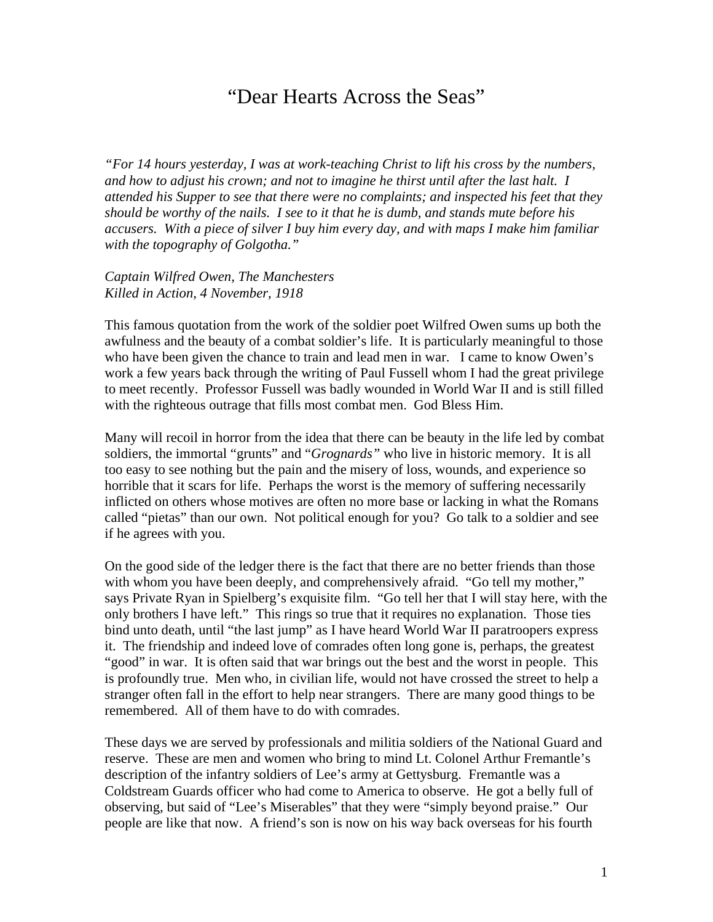## "Dear Hearts Across the Seas"

*"For 14 hours yesterday, I was at work-teaching Christ to lift his cross by the numbers, and how to adjust his crown; and not to imagine he thirst until after the last halt. I attended his Supper to see that there were no complaints; and inspected his feet that they should be worthy of the nails. I see to it that he is dumb, and stands mute before his accusers. With a piece of silver I buy him every day, and with maps I make him familiar with the topography of Golgotha."* 

## *Captain Wilfred Owen, The Manchesters Killed in Action, 4 November, 1918*

This famous quotation from the work of the soldier poet Wilfred Owen sums up both the awfulness and the beauty of a combat soldier's life. It is particularly meaningful to those who have been given the chance to train and lead men in war. I came to know Owen's work a few years back through the writing of Paul Fussell whom I had the great privilege to meet recently. Professor Fussell was badly wounded in World War II and is still filled with the righteous outrage that fills most combat men. God Bless Him.

Many will recoil in horror from the idea that there can be beauty in the life led by combat soldiers, the immortal "grunts" and "*Grognards"* who live in historic memory. It is all too easy to see nothing but the pain and the misery of loss, wounds, and experience so horrible that it scars for life. Perhaps the worst is the memory of suffering necessarily inflicted on others whose motives are often no more base or lacking in what the Romans called "pietas" than our own. Not political enough for you? Go talk to a soldier and see if he agrees with you.

On the good side of the ledger there is the fact that there are no better friends than those with whom you have been deeply, and comprehensively afraid. "Go tell my mother," says Private Ryan in Spielberg's exquisite film. "Go tell her that I will stay here, with the only brothers I have left." This rings so true that it requires no explanation. Those ties bind unto death, until "the last jump" as I have heard World War II paratroopers express it. The friendship and indeed love of comrades often long gone is, perhaps, the greatest "good" in war. It is often said that war brings out the best and the worst in people. This is profoundly true. Men who, in civilian life, would not have crossed the street to help a stranger often fall in the effort to help near strangers. There are many good things to be remembered. All of them have to do with comrades.

These days we are served by professionals and militia soldiers of the National Guard and reserve. These are men and women who bring to mind Lt. Colonel Arthur Fremantle's description of the infantry soldiers of Lee's army at Gettysburg. Fremantle was a Coldstream Guards officer who had come to America to observe. He got a belly full of observing, but said of "Lee's Miserables" that they were "simply beyond praise." Our people are like that now. A friend's son is now on his way back overseas for his fourth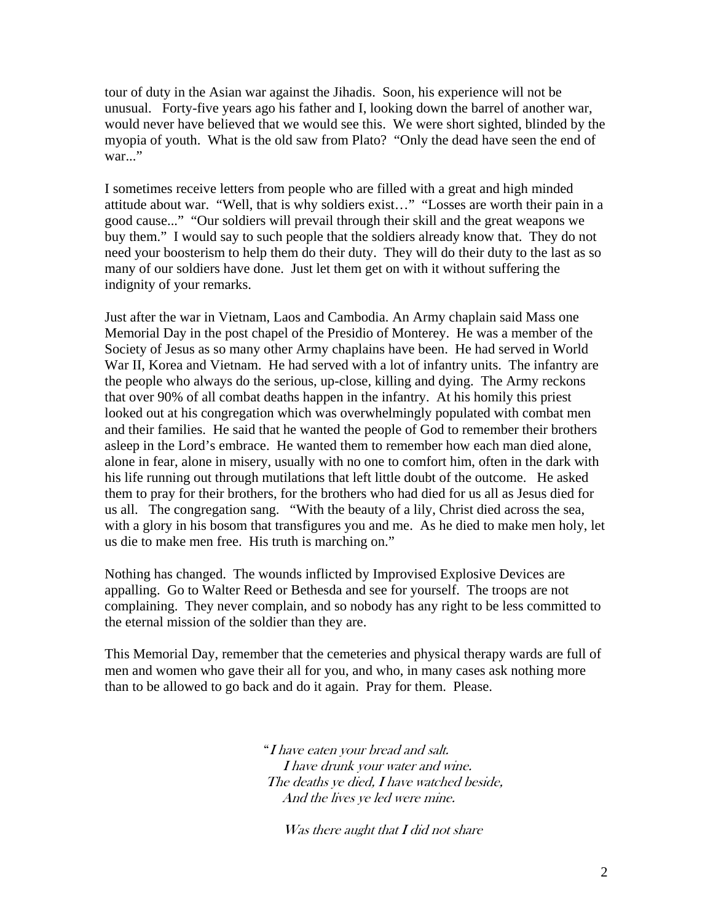tour of duty in the Asian war against the Jihadis. Soon, his experience will not be unusual. Forty-five years ago his father and I, looking down the barrel of another war, would never have believed that we would see this. We were short sighted, blinded by the myopia of youth. What is the old saw from Plato? "Only the dead have seen the end of war..."

I sometimes receive letters from people who are filled with a great and high minded attitude about war. "Well, that is why soldiers exist…" "Losses are worth their pain in a good cause..." "Our soldiers will prevail through their skill and the great weapons we buy them." I would say to such people that the soldiers already know that. They do not need your boosterism to help them do their duty. They will do their duty to the last as so many of our soldiers have done. Just let them get on with it without suffering the indignity of your remarks.

Just after the war in Vietnam, Laos and Cambodia. An Army chaplain said Mass one Memorial Day in the post chapel of the Presidio of Monterey. He was a member of the Society of Jesus as so many other Army chaplains have been. He had served in World War II, Korea and Vietnam. He had served with a lot of infantry units. The infantry are the people who always do the serious, up-close, killing and dying. The Army reckons that over 90% of all combat deaths happen in the infantry. At his homily this priest looked out at his congregation which was overwhelmingly populated with combat men and their families. He said that he wanted the people of God to remember their brothers asleep in the Lord's embrace. He wanted them to remember how each man died alone, alone in fear, alone in misery, usually with no one to comfort him, often in the dark with his life running out through mutilations that left little doubt of the outcome. He asked them to pray for their brothers, for the brothers who had died for us all as Jesus died for us all. The congregation sang. "With the beauty of a lily, Christ died across the sea, with a glory in his bosom that transfigures you and me. As he died to make men holy, let us die to make men free. His truth is marching on."

Nothing has changed. The wounds inflicted by Improvised Explosive Devices are appalling. Go to Walter Reed or Bethesda and see for yourself. The troops are not complaining. They never complain, and so nobody has any right to be less committed to the eternal mission of the soldier than they are.

This Memorial Day, remember that the cemeteries and physical therapy wards are full of men and women who gave their all for you, and who, in many cases ask nothing more than to be allowed to go back and do it again. Pray for them. Please.

> "I have eaten your bread and salt. I have drunk your water and wine. The deaths ye died, I have watched beside, And the lives ye led were mine.

*Was there aught that I did not share*